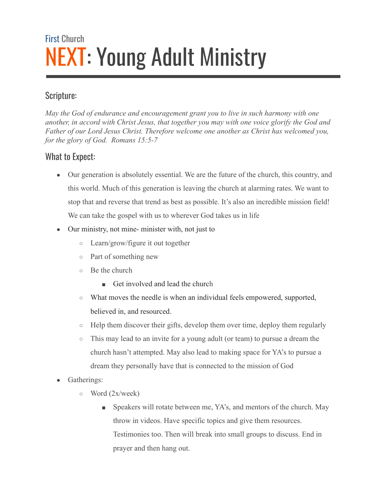# First Church NEXT: Young Adult Ministry

## Scripture:

*May the God of endurance and encouragement grant you to live in such harmony with one another, in accord with Christ Jesus, that together you may with one voice glorify the God and Father of our Lord Jesus Christ. Therefore welcome one another as Christ has welcomed you, for the glory of God. Romans 15:5-7*

## What to Expect:

- Our generation is absolutely essential. We are the future of the church, this country, and this world. Much of this generation is leaving the church at alarming rates. We want to stop that and reverse that trend as best as possible. It's also an incredible mission field! We can take the gospel with us to wherever God takes us in life
- Our ministry, not mine- minister with, not just to
	- Learn/grow/figure it out together
	- Part of something new
	- Be the church
		- Get involved and lead the church
	- What moves the needle is when an individual feels empowered, supported, believed in, and resourced.
	- Help them discover their gifts, develop them over time, deploy them regularly
	- This may lead to an invite for a young adult (or team) to pursue a dream the church hasn't attempted. May also lead to making space for YA's to pursue a dream they personally have that is connected to the mission of God
- Gatherings:
	- $\circ$  Word (2x/week)
		- Speakers will rotate between me, YA's, and mentors of the church. May throw in videos. Have specific topics and give them resources. Testimonies too. Then will break into small groups to discuss. End in prayer and then hang out.